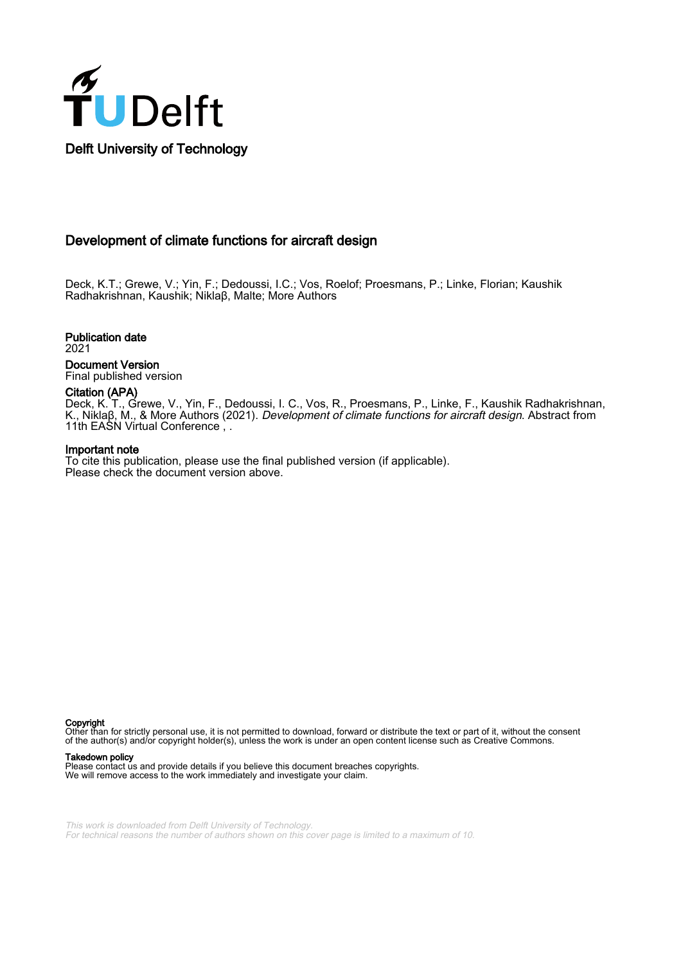

# Development of climate functions for aircraft design

Deck, K.T.; Grewe, V.; Yin, F.; Dedoussi, I.C.; Vos, Roelof; Proesmans, P.; Linke, Florian; Kaushik Radhakrishnan, Kaushik; Niklaβ, Malte; More Authors

Publication date

2021

Document Version Final published version

## Citation (APA)

Deck, K. T., Grewe, V., Yin, F., Dedoussi, I. C., Vos, R., Proesmans, P., Linke, F., Kaushik Radhakrishnan, K., Niklaβ, M., & More Authors (2021). Development of climate functions for aircraft design. Abstract from 11th EASN Virtual Conference, .

#### Important note

To cite this publication, please use the final published version (if applicable). Please check the document version above.

Copyright

Other than for strictly personal use, it is not permitted to download, forward or distribute the text or part of it, without the consent of the author(s) and/or copyright holder(s), unless the work is under an open content license such as Creative Commons.

#### Takedown policy

Please contact us and provide details if you believe this document breaches copyrights. We will remove access to the work immediately and investigate your claim.

This work is downloaded from Delft University of Technology. For technical reasons the number of authors shown on this cover page is limited to a maximum of 10.